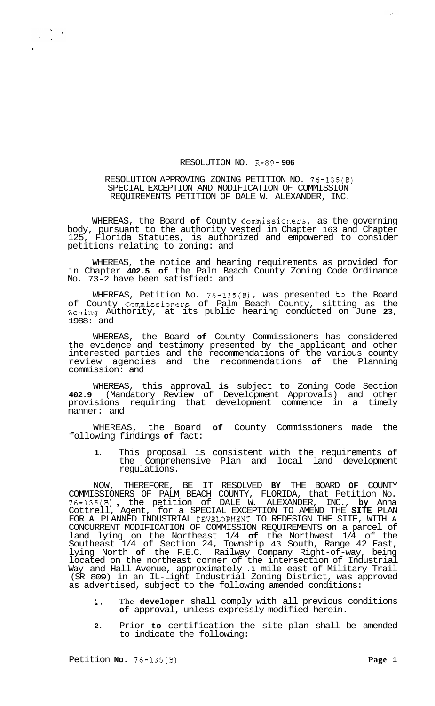## RESOLUTION NO. R-89- **906**

## RESOLUTION APPROVING ZONING PETITION NO. 76-135(B) SPECIAL EXCEPTION AND MODIFICATION OF COMMISSION REQUIREMENTS PETITION OF DALE W. ALEXANDER, INC.

WHEREAS, the Board **of** County Commissioners, as the governing body, pursuant to the authority vested in Chapter 163 and Chapter 125, Florida Statutes, is authorized and empowered to consider petitions relating to zoning: and

WHEREAS, the notice and hearing requirements as provided for in Chapter **402.5 of** the Palm Beach County Zoning Code Ordinance No. 73-2 have been satisfied: and

WHEREAS, Petition No. 76-135(B), was presented to the Board of County Commissioners of Palm Beach County, sitting as the Zoning Authority, at its public hearing conducted on June **23,**  1988: and

WHEREAS, the Board **of** County Commissioners has considered the evidence and testimony presented by the applicant and other interested parties and the recommendations of the various county review agencies and the recommendations **of** the Planning commission: and

WHEREAS, this approval **is** subject to Zoning Code Section **402.9** (Mandatory Review of Development Approvals) and other provisions requiring that development commence in a timely manner: and

WHEREAS, the Board **of** County Commissioners made the following findings **of** fact:

**1.** This proposal is consistent with the requirements **of**  the Comprehensive Plan and local land development regulations.

NOW, THEREFORE, BE IT RESOLVED **BY** THE BOARD **OF** COUNTY COMMISSIONERS OF PALM BEACH COUNTY, FLORIDA, that Petition No. 76-135(B) , the petition of DALE W. ALEXANDER, INC., **by** Anna Cottrell, Agent, for a SPECIAL EXCEPTION TO AMEND THE **SITE** PLAN FOR **A** PLANNED INDUSTRIAL DEVELOPMENT TO REDESIGN THE SITE, WITH **A** CONCURRENT MODIFICATION OF COMMISSION REQUIREMENTS **on** a parcel of land lying on the Northeast 1/4 **of** the Northwest 1/4 of the Southeast 1/4 of Section 24, Township 43 South, Range 42 East, lying North **of** the F.E.C. Railway Company Right-of-way, being located on the northeast corner of the intersection of Industrial Way and Hall Avenue, approximately **.1** mile east of Military Trail (SR 809) in an IL-Light Industrial Zoning District, was approved as advertised, subject to the following amended conditions:

- **1.** The **developer** shall comply with all previous conditions **of** approval, unless expressly modified herein.
- **2.** Prior **to** certification the site plan shall be amended to indicate the following:

.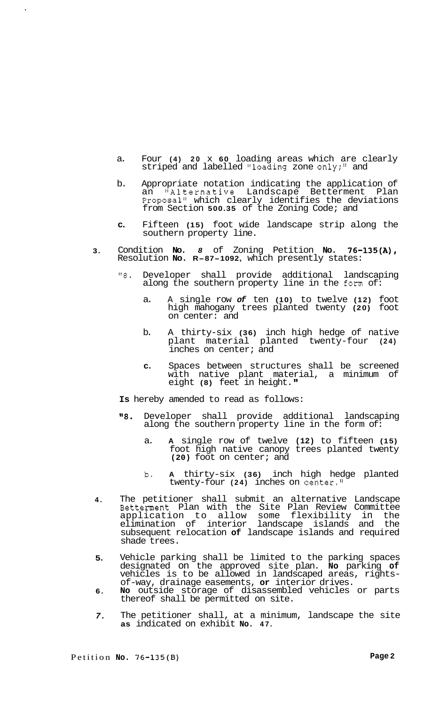- a. Four **(4) 20** x **60** loading areas which are clearly striped and labelled "loading zone only;" and
- b. Appropriate notation indicating the application of an "Alternative Landscape Betterment Plan Proposal" which clearly identifies the deviations from Section **500.35** of the Zoning Code; and
- **c.** Fifteen **(15)** foot wide landscape strip along the southern property line.
- **3.**  Condition **No.** *8* of Zoning Petition **No. 76-135(A),**  Resolution **No. R-87-1092,** which presently states:
	- *"8.* Developer shall provide additional landscaping along the southern property line in the form of:
		- a. A single row *of* ten **(10)** to twelve **(12)** foot high mahogany trees planted twenty **(20)** foot on center: and
		- b. A thirty-six **(36)** inch high hedge of native plant material planted twenty-four **(24)**  inches on center; and
		- **c.** Spaces between structures shall be screened with native plant material, a minimum of eight **(8)** feet in height.
	- **Is** hereby amended to read as follows:
	- **IV8.** Developer shall provide additional landscaping along the southern property line in the form of:
		- a. **A** single row of twelve **(12)** to fifteen **(15)**  foot high native canopy trees planted twenty **(20)** foot on center; and
		- b. **A** thirty-six **(36)** inch high hedge planted twenty-four **(24)** inches on center."
- **4.**  The petitioner shall submit an alternative Landscape Betterment Plan with the Site Plan Review Committee application to allow some flexibility in the elimination of interior landscape islands and the subsequent relocation **of** landscape islands and required shade trees.
- **5.**  Vehicle parking shall be limited to the parking spaces designated on the approved site plan. **No** parking **of**  vehicles is to be allowed in landscaped areas, rights- of-way, drainage easements, **or** interior drives.
- **6. No** outside storage of disassembled vehicles or parts thereof shall be permitted on site.
- *7.*  The petitioner shall, at a minimum, landscape the site **as** indicated on exhibit **No. 47.**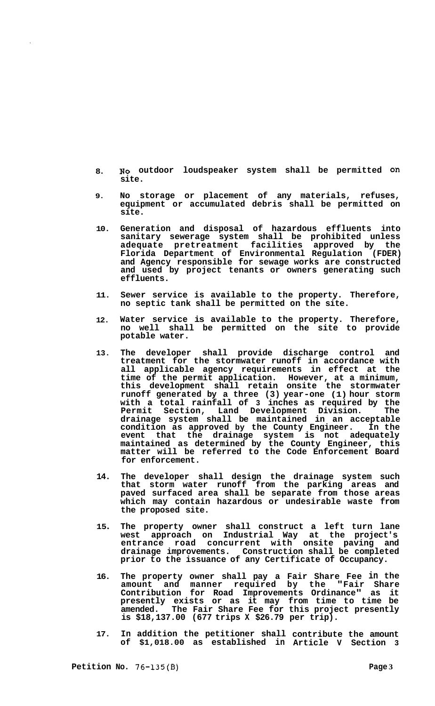- **8. NO outdoor loudspeaker system shall be permitted on site.**
- **9. No storage or placement of any materials, refuses, equipment or accumulated debris shall be permitted on site.**
- **10. Generation and disposal of hazardous effluents into sanitary sewerage system shall be prohibited unless adequate pretreatment facilities approved by the Florida Department of Environmental Regulation (FDER) and Agency responsible for sewage works are constructed and used by project tenants or owners generating such effluents.**
- **11. Sewer service is available to the property. Therefore, no septic tank shall be permitted on the site.**
- **12. Water service is available to the property. Therefore, no well shall be permitted on the site to provide potable water.**
- **13. The developer shall provide discharge control and treatment for the stormwater runoff in accordance with all applicable agency requirements in effect at the time of the permit application. However, at a minimum, this development shall retain onsite the stormwater runoff generated by a three (3) year-one (1) hour storm with a total rainfall of 3 inches as required by the Permit Section, Land Development Division. The drainage system shall be maintained in an acceptable condition as approved by the County Engineer. In the event that the drainage system is not adequately maintained as determined by the County Engineer, this matter will be referred to the Code Enforcement Board for enforcement.**
- **14. The developer shall design the drainage system such that storm water runoff from the parking areas and paved surfaced area shall be separate from those areas which may contain hazardous or undesirable waste from the proposed site.**
- **15 The property owner shall construct a left turn lane west approach on Industrial Way at the project's entrance road concurrent with onsite paving and drainage improvements. Construction shall be completed prior to the issuance of any Certificate of Occupancy.**
- **16. The property owner shall pay a Fair Share Fee in the amount and manner required by the "Fair Share Contribution for Road Improvements Ordinance" as it presently exists or as it may from time to time be amended. The Fair Share Fee for this project presently is \$18,137.00 (677 trips X \$26.79 per trip).**
- **17. In addition the petitioner shall contribute the amount of \$1,018.00 as established in Article V Section 3**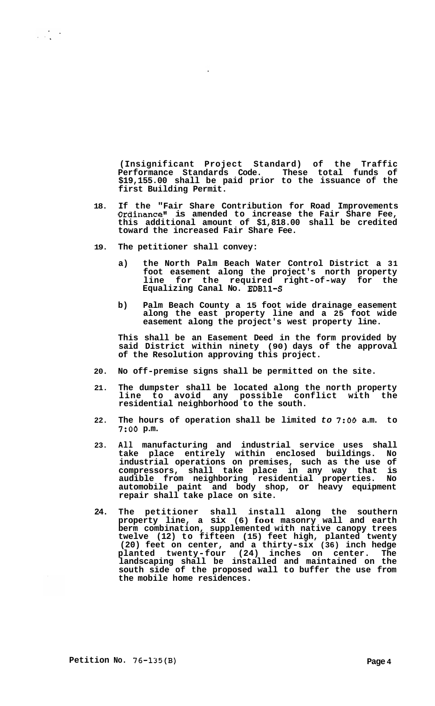**(Insignificant Project Standard) of the Traffic Performance Standards Code. These total funds of \$19,155.00 shall be paid prior to the issuance of the first Building Permit.** 

- **18. If the "Fair Share Contribution for Road Improvements Ordinance" is amended to increase the Fair Share Fee, this additional amount of \$1,818.00 shall be credited toward the increased Fair Share Fee.**
- **19. The petitioner shall convey:**

 $\frac{1}{2}$ 

- **a) the North Palm Beach Water Control District a 31 foot easement along the project's north property line for the required right-of-way for the Equalizing Canal No. EDB11-S**
- **b) Palm Beach County a 15 foot wide drainage easement along the east property line and a 25 foot wide easement along the project's west property line.**

**This shall be an Easement Deed in the form provided by said District within ninety (90) days of the approval of the Resolution approving this project.** 

- **20. No off-premise signs shall be permitted on the site.**
- **21. The dumpster shall be located along the north property line to avoid any possible conflict with the residential neighborhood to the south.**
- **22. The hours of operation shall be limited** *to 7:OO* **a.m. to**  *7:OO* **p.m.**
- **23. All manufacturing and industrial service uses shall take place entirely within enclosed buildings. No industrial operations on premises, such as the use of compressors, shall take place in any way that is audible from neighboring residential properties. No automobile paint and body shop, or heavy equipment repair shall take place on site.**
- **24. The petitioner shall install along the southern property line, a six (6) foot masonry wall and earth berm combination, supplemented with native canopy trees twelve (12) to fifteen (15) feet high, planted twenty (20) feet on center, and a thirty-six (36) inch hedge planted twenty-four (24) inches on center. The landscaping shall be installed and maintained on the south side of the proposed wall to buffer the use from the mobile home residences.**